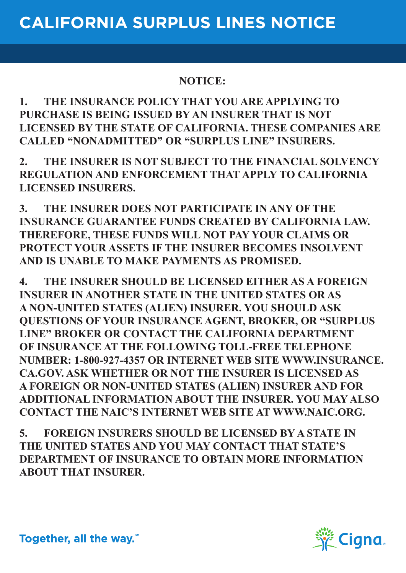## **NOTICE:**

**1. THE INSURANCE POLICY THAT YOU ARE APPLYING TO PURCHASE IS BEING ISSUED BY AN INSURER THAT IS NOT LICENSED BY THE STATE OF CALIFORNIA. THESE COMPANIES ARE CALLED "NONADMITTED" OR "SURPLUS LINE" INSURERS.**

**2. THE INSURER IS NOT SUBJECT TO THE FINANCIAL SOLVENCY REGULATION AND ENFORCEMENT THAT APPLY TO CALIFORNIA LICENSED INSURERS.**

**3. THE INSURER DOES NOT PARTICIPATE IN ANY OF THE INSURANCE GUARANTEE FUNDS CREATED BY CALIFORNIA LAW. THEREFORE, THESE FUNDS WILL NOT PAY YOUR CLAIMS OR PROTECT YOUR ASSETS IF THE INSURER BECOMES INSOLVENT AND IS UNABLE TO MAKE PAYMENTS AS PROMISED.**

**4. THE INSURER SHOULD BE LICENSED EITHER AS A FOREIGN INSURER IN ANOTHER STATE IN THE UNITED STATES OR AS A NON-UNITED STATES (ALIEN) INSURER. YOU SHOULD ASK QUESTIONS OF YOUR INSURANCE AGENT, BROKER, OR "SURPLUS LINE" BROKER OR CONTACT THE CALIFORNIA DEPARTMENT OF INSURANCE AT THE FOLLOWING TOLL-FREE TELEPHONE NUMBER: 1-800-927-4357 OR INTERNET WEB SITE WWW.INSURANCE. CA.GOV. ASK WHETHER OR NOT THE INSURER IS LICENSED AS A FOREIGN OR NON-UNITED STATES (ALIEN) INSURER AND FOR ADDITIONAL INFORMATION ABOUT THE INSURER. YOU MAY ALSO CONTACT THE NAIC'S INTERNET WEB SITE AT WWW.NAIC.ORG.**

**5. FOREIGN INSURERS SHOULD BE LICENSED BY A STATE IN THE UNITED STATES AND YOU MAY CONTACT THAT STATE'S DEPARTMENT OF INSURANCE TO OBTAIN MORE INFORMATION ABOUT THAT INSURER.**



Together, all the way.